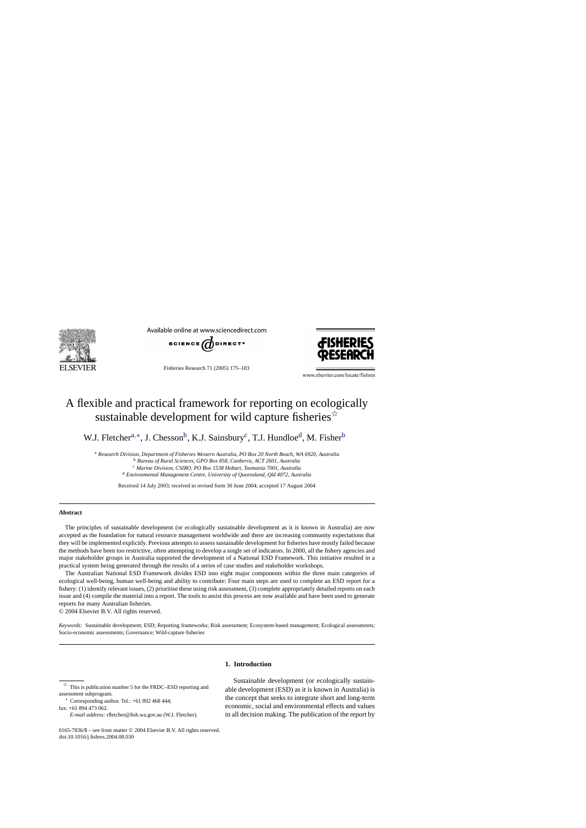

Available online at www.sciencedirect.com



Fisheries Research 71 (2005) 175–183



www.elsevier.com/locate/fishres

# A flexible and practical framework for reporting on ecologically sustainable development for wild capture fisheries  $\dot{x}$

W.J. Fletcher<sup>a,∗</sup>, J. Chesson<sup>b</sup>, K.J. Sainsbury<sup>c</sup>, T.J. Hundloe<sup>d</sup>, M. Fisher<sup>b</sup>

<sup>a</sup> *Research Division, Department of Fisheries Western Australia, PO Box 20 North Beach, WA 6920, Australia* <sup>b</sup> *Bureau of Rural Sciences, GPO Box 858, Canberra, ACT 2601, Australia* <sup>c</sup> *Marine Division, CSIRO, PO Box 1538 Hobart, Tasmania 7001, Australia*

<sup>d</sup> *Environmental Management Centre, University of Queensland, Qld 4072, Australia*

Received 14 July 2003; received in revised form 30 June 2004; accepted 17 August 2004

#### **Abstract**

The principles of sustainable development (or ecologically sustainable development as it is known in Australia) are now accepted as the foundation for natural resource management worldwide and there are increasing community expectations that they will be implemented explicitly. Previous attempts to assess sustainable development for fisheries have mostly failed because the methods have been too restrictive, often attempting to develop a single set of indicators. In 2000, all the fishery agencies and major stakeholder groups in Australia supported the development of a National ESD Framework. This initiative resulted in a practical system being generated through the results of a series of case studies and stakeholder workshops.

The Australian National ESD Framework divides ESD into eight major components within the three main categories of ecological well-being, human well-being and ability to contribute: Four main steps are used to complete an ESD report for a fishery: (1) identify relevant issues, (2) prioritise these using risk assessment, (3) complete appropriately detailed reports on each issue and (4) compile the material into a report. The tools to assist this process are now available and have been used to generate reports for many Australian fisheries.

© 2004 Elsevier B.V. All rights reserved.

*Keywords:* Sustainable development; ESD; Reporting frameworks; Risk assessment; Ecosystem-based management; Ecological assessments; Socio-economic assessments; Governance; Wild-capture fisheries

fax: +61 894 473 062.

# **1. Introduction**

Sustainable development (or ecologically sustainable development (ESD) as it is known in Australia) is the concept that seeks to integrate short and long-term economic, social and environmental effects and values in all decision making. The publication of the report by

 $\overleftrightarrow{\mathbf{x}}$  This is publication number 5 for the FRDC–ESD reporting and assessment subprogram.

<sup>∗</sup> Corresponding author. Tel.: +61 892 468 444;

*E-mail address:* rfletcher@fish.wa.gov.au (W.J. Fletcher).

<sup>0165-7836/\$ –</sup> see front matter © 2004 Elsevier B.V. All rights reserved. doi:10.1016/j.fishres.2004.08.030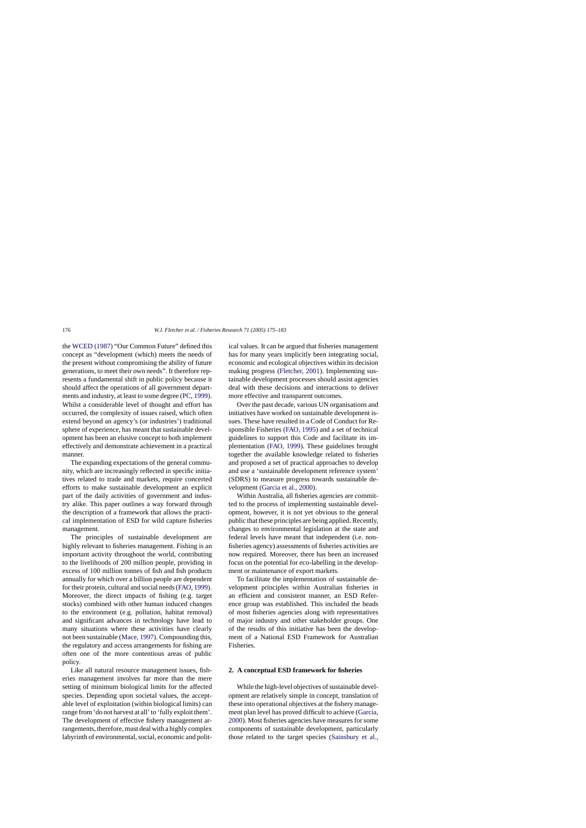the [WCED \(1987\)](#page-8-0) "Our Common Future" defined this concept as "development (which) meets the needs of the present without compromising the ability of future generations, to meet their own needs". It therefore represents a fundamental shift in public policy because it should affect the operations of all government departments and industry, at least to some degree [\(PC, 1999\).](#page-8-0) Whilst a considerable level of thought and effort has occurred, the complexity of issues raised, which often extend beyond an agency's (or industries') traditional sphere of experience, has meant that sustainable development has been an elusive concept to both implement effectively and demonstrate achievement in a practical manner.

The expanding expectations of the general community, which are increasingly reflected in specific initiatives related to trade and markets, require concerted efforts to make sustainable development an explicit part of the daily activities of government and industry alike. This paper outlines a way forward through the description of a framework that allows the practical implementation of ESD for wild capture fisheries management.

The principles of sustainable development are highly relevant to fisheries management. Fishing is an important activity throughout the world, contributing to the livelihoods of 200 million people, providing in excess of 100 million tonnes of fish and fish products annually for which over a billion people are dependent for their protein, cultural and social needs [\(FAO, 1999\).](#page-8-0) Moreover, the direct impacts of fishing (e.g. target stocks) combined with other human induced changes to the environment (e.g. pollution, habitat removal) and significant advances in technology have lead to many situations where these activities have clearly not been sustainable ([Mace, 1997\).](#page-8-0) Compounding this, the regulatory and access arrangements for fishing are often one of the more contentious areas of public policy.

Like all natural resource management issues, fisheries management involves far more than the mere setting of minimum biological limits for the affected species. Depending upon societal values, the acceptable level of exploitation (within biological limits) can range from 'do not harvest at all' to 'fully exploit them'. The development of effective fishery management arrangements, therefore, must deal with a highly complex labyrinth of environmental, social, economic and political values. It can be argued that fisheries management has for many years implicitly been integrating social, economic and ecological objectives within its decision making progress ([Fletcher, 2001\).](#page-8-0) Implementing sustainable development processes should assist agencies deal with these decisions and interactions to deliver more effective and transparent outcomes.

Over the past decade, various UN organisations and initiatives have worked on sustainable development issues. These have resulted in a Code of Conduct for Responsible Fisheries ([FAO, 1995\)](#page-8-0) and a set of technical guidelines to support this Code and facilitate its implementation [\(FAO, 1999\).](#page-8-0) These guidelines brought together the available knowledge related to fisheries and proposed a set of practical approaches to develop and use a 'sustainable development reference system' (SDRS) to measure progress towards sustainable development [\(Garcia et al., 2000\).](#page-8-0)

Within Australia, all fisheries agencies are committed to the process of implementing sustainable development, however, it is not yet obvious to the general public that these principles are being applied. Recently, changes to environmental legislation at the state and federal levels have meant that independent (i.e. nonfisheries agency) assessments of fisheries activities are now required. Moreover, there has been an increased focus on the potential for eco-labelling in the development or maintenance of export markets.

To facilitate the implementation of sustainable development principles within Australian fisheries in an efficient and consistent manner, an ESD Reference group was established. This included the heads of most fisheries agencies along with representatives of major industry and other stakeholder groups. One of the results of this initiative has been the development of a National ESD Framework for Australian Fisheries.

#### **2. A conceptual ESD framework for fisheries**

While the high-level objectives of sustainable development are relatively simple in concept, translation of these into operational objectives at the fishery management plan level has proved difficult to achieve ([Garcia,](#page-8-0) [2000\).](#page-8-0) Most fisheries agencies have measures for some components of sustainable development, particularly those related to the target species [\(Sainsbury et al.,](#page-8-0)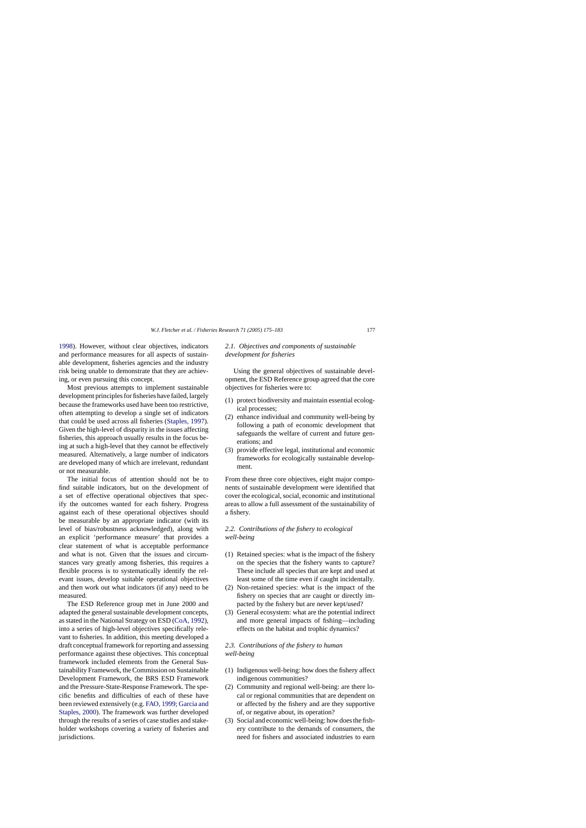[1998\).](#page-8-0) However, without clear objectives, indicators and performance measures for all aspects of sustainable development, fisheries agencies and the industry risk being unable to demonstrate that they are achieving, or even pursuing this concept.

Most previous attempts to implement sustainable development principles for fisheries have failed, largely because the frameworks used have been too restrictive, often attempting to develop a single set of indicators that could be used across all fisheries [\(Staples, 1997\).](#page-8-0) Given the high-level of disparity in the issues affecting fisheries, this approach usually results in the focus being at such a high-level that they cannot be effectively measured. Alternatively, a large number of indicators are developed many of which are irrelevant, redundant or not measurable.

The initial focus of attention should not be to find suitable indicators, but on the development of a set of effective operational objectives that specify the outcomes wanted for each fishery. Progress against each of these operational objectives should be measurable by an appropriate indicator (with its level of bias/robustness acknowledged), along with an explicit 'performance measure' that provides a clear statement of what is acceptable performance and what is not. Given that the issues and circumstances vary greatly among fisheries, this requires a flexible process is to systematically identify the relevant issues, develop suitable operational objectives and then work out what indicators (if any) need to be measured.

The ESD Reference group met in June 2000 and adapted the general sustainable development concepts, as stated in the National Strategy on ESD ([CoA, 1992\),](#page-7-0) into a series of high-level objectives specifically relevant to fisheries. In addition, this meeting developed a draft conceptual framework for reporting and assessing performance against these objectives. This conceptual framework included elements from the General Sustainability Framework, the Commission on Sustainable Development Framework, the BRS ESD Framework and the Pressure-State-Response Framework. The specific benefits and difficulties of each of these have been reviewed extensively (e.g. [FAO, 1999; Garcia and](#page-8-0) [Staples, 2000\).](#page-8-0) The framework was further developed through the results of a series of case studies and stakeholder workshops covering a variety of fisheries and jurisdictions.

## *2.1. Objectives and components of sustainable development for fisheries*

Using the general objectives of sustainable development, the ESD Reference group agreed that the core objectives for fisheries were to:

- (1) protect biodiversity and maintain essential ecological processes;
- (2) enhance individual and community well-being by following a path of economic development that safeguards the welfare of current and future generations; and
- (3) provide effective legal, institutional and economic frameworks for ecologically sustainable development.

From these three core objectives, eight major components of sustainable development were identified that cover the ecological, social, economic and institutional areas to allow a full assessment of the sustainability of a fishery.

# *2.2. Contributions of the fishery to ecological well-being*

- (1) Retained species: what is the impact of the fishery on the species that the fishery wants to capture? These include all species that are kept and used at least some of the time even if caught incidentally.
- (2) Non-retained species: what is the impact of the fishery on species that are caught or directly impacted by the fishery but are never kept/used?
- (3) General ecosystem: what are the potential indirect and more general impacts of fishing—including effects on the habitat and trophic dynamics?

# *2.3. Contributions of the fishery to human well-being*

- (1) Indigenous well-being: how does the fishery affect indigenous communities?
- (2) Community and regional well-being: are there local or regional communities that are dependent on or affected by the fishery and are they supportive of, or negative about, its operation?
- (3) Social and economic well-being: how does the fishery contribute to the demands of consumers, the need for fishers and associated industries to earn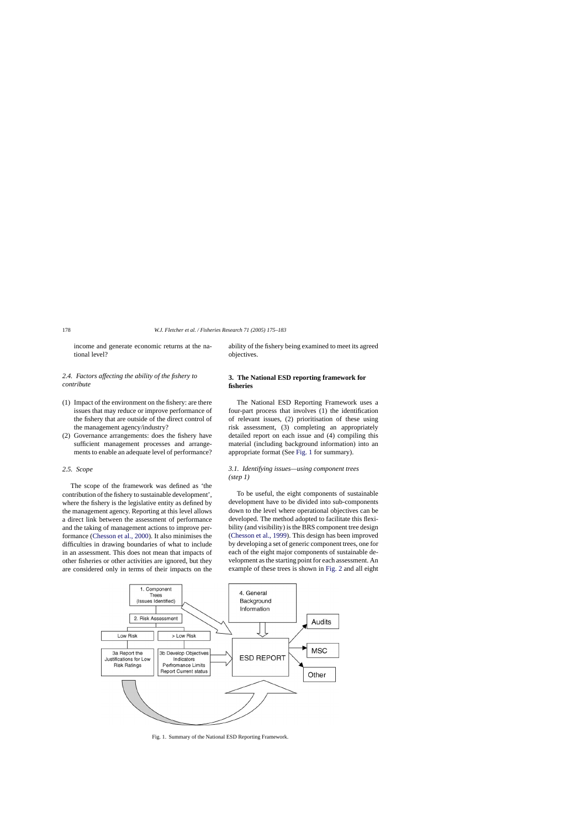income and generate economic returns at the national level?

# *2.4. Factors affecting the ability of the fishery to contribute*

- (1) Impact of the environment on the fishery: are there issues that may reduce or improve performance of the fishery that are outside of the direct control of the management agency/industry?
- (2) Governance arrangements: does the fishery have sufficient management processes and arrangements to enable an adequate level of performance?

#### *2.5. Scope*

The scope of the framework was defined as 'the contribution of the fishery to sustainable development', where the fishery is the legislative entity as defined by the management agency. Reporting at this level allows a direct link between the assessment of performance and the taking of management actions to improve performance ([Chesson et al., 2000\).](#page-7-0) It also minimises the difficulties in drawing boundaries of what to include in an assessment. This does not mean that impacts of other fisheries or other activities are ignored, but they are considered only in terms of their impacts on the ability of the fishery being examined to meet its agreed objectives.

## **3. The National ESD reporting framework for fisheries**

The National ESD Reporting Framework uses a four-part process that involves (1) the identification of relevant issues, (2) prioritisation of these using risk assessment, (3) completing an appropriately detailed report on each issue and (4) compiling this material (including background information) into an appropriate format (See Fig. 1 for summary).

# *3.1. Identifying issues—using component trees (step 1)*

To be useful, the eight components of sustainable development have to be divided into sub-components down to the level where operational objectives can be developed. The method adopted to facilitate this flexibility (and visibility) is the BRS component tree design ([Chesson et al., 1999\).](#page-7-0) This design has been improved by developing a set of generic component trees, one for each of the eight major components of sustainable development as the starting point for each assessment. An example of these trees is shown in [Fig. 2](#page-4-0) and all eight



Fig. 1. Summary of the National ESD Reporting Framework.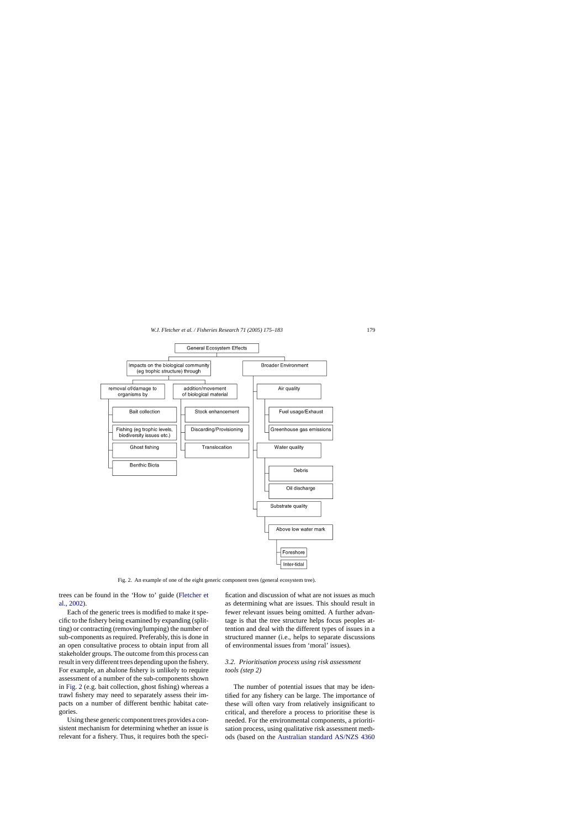<span id="page-4-0"></span>

Fig. 2. An example of one of the eight generic component trees (general ecosystem tree).

trees can be found in the *'*How to' guide ([Fletcher et](#page-8-0) [al., 2002\).](#page-8-0)

Each of the generic trees is modified to make it specific to the fishery being examined by expanding (splitting) or contracting (removing/lumping) the number of sub-components as required. Preferably, this is done in an open consultative process to obtain input from all stakeholder groups. The outcome from this process can result in very different trees depending upon the fishery. For example, an abalone fishery is unlikely to require assessment of a number of the sub-components shown in Fig. 2 (e.g. bait collection, ghost fishing) whereas a trawl fishery may need to separately assess their impacts on a number of different benthic habitat categories.

Using these generic component trees provides a consistent mechanism for determining whether an issue is relevant for a fishery. Thus, it requires both the specification and discussion of what are not issues as much as determining what are issues. This should result in fewer relevant issues being omitted. A further advantage is that the tree structure helps focus peoples attention and deal with the different types of issues in a structured manner (i.e., helps to separate discussions of environmental issues from 'moral' issues).

## *3.2. Prioritisation process using risk assessment tools (step 2)*

The number of potential issues that may be identified for any fishery can be large. The importance of these will often vary from relatively insignificant to critical, and therefore a process to prioritise these is needed. For the environmental components, a prioritisation process, using qualitative risk assessment methods (based on the [Australian standard AS/NZS 4360](#page-8-0)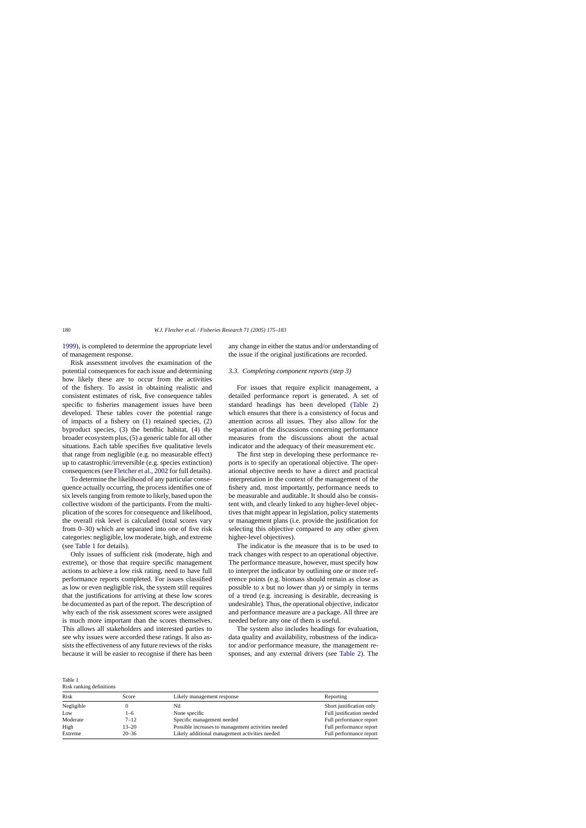[1999\),](#page-8-0) is completed to determine the appropriate level of management response.

Risk assessment involves the examination of the potential consequences for each issue and determining how likely these are to occur from the activities of the fishery. To assist in obtaining realistic and consistent estimates of risk, five consequence tables specific to fisheries management issues have been developed. These tables cover the potential range of impacts of a fishery on (1) retained species, (2) byproduct species, (3) the benthic habitat, (4) the broader ecosystem plus, (5) a generic table for all other situations. Each table specifies five qualitative levels that range from negligible (e.g. no measurable effect) up to catastrophic/irreversible (e.g. species extinction) consequences (see [Fletcher et al., 2002](#page-8-0) for full details).

To determine the likelihood of any particular consequence actually occurring, the process identifies one of six levels ranging from remote to likely, based upon the collective wisdom of the participants. From the multiplication of the scores for consequence and likelihood, the overall risk level is calculated (total scores vary from 0–30) which are separated into one of five risk categories: negligible, low moderate, high, and extreme (see Table 1 for details).

Only issues of sufficient risk (moderate, high and extreme), or those that require specific management actions to achieve a low risk rating, need to have full performance reports completed. For issues classified as low or even negligible risk, the system still requires that the justifications for arriving at these low scores be documented as part of the report. The description of why each of the risk assessment scores were assigned is much more important than the scores themselves. This allows all stakeholders and interested parties to see why issues were accorded these ratings. It also assists the effectiveness of any future reviews of the risks because it will be easier to recognise if there has been any change in either the status and/or understanding of the issue if the original justifications are recorded.

#### *3.3. Completing component reports (step 3)*

For issues that require explicit management, a detailed performance report is generated. A set of standard headings has been developed [\(Table 2\)](#page-6-0) which ensures that there is a consistency of focus and attention across all issues. They also allow for the separation of the discussions concerning performance measures from the discussions about the actual indicator and the adequacy of their measurement etc.

The first step in developing these performance reports is to specify an operational objective. The operational objective needs to have a direct and practical interpretation in the context of the management of the fishery and, most importantly, performance needs to be measurable and auditable. It should also be consistent with, and clearly linked to any higher-level objectives that might appear in legislation, policy statements or management plans (i.e. provide the justification for selecting this objective compared to any other given higher-level objectives).

The indicator is the measure that is to be used to track changes with respect to an operational objective. The performance measure, however, must specify how to interpret the indicator by outlining one or more reference points (e.g. biomass should remain as close as possible to *x* but no lower than *y*) or simply in terms of a trend (e.g. increasing is desirable, decreasing is undesirable). Thus, the operational objective, indicator and performance measure are a package. All three are needed before any one of them is useful.

The system also includes headings for evaluation, data quality and availability, robustness of the indicator and/or performance measure, the management responses, and any external drivers (see [Table 2\).](#page-6-0) The

| Table 1 |                          |
|---------|--------------------------|
|         | Risk ranking definitions |

| Risk       | Score     | Likely management response                         | Reporting                 |
|------------|-----------|----------------------------------------------------|---------------------------|
| Negligible |           | Nil                                                | Short justification only  |
| Low        | l-6       | None specific                                      | Full justification needed |
| Moderate   | $7 - 12$  | Specific management needed                         | Full performance report   |
| High       | $13 - 20$ | Possible increases to management activities needed | Full performance report   |
| Extreme    | $20 - 36$ | Likely additional management activities needed     | Full performance report   |
|            |           |                                                    |                           |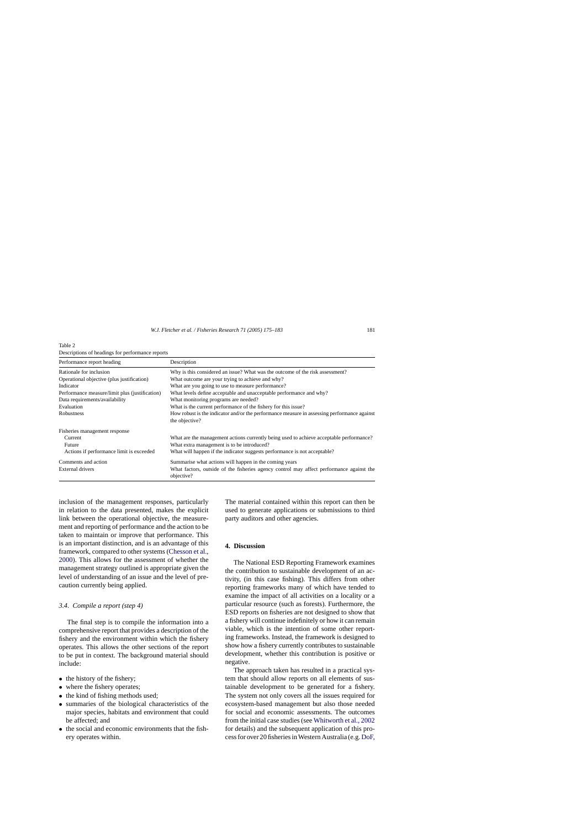<span id="page-6-0"></span>

| Table 2                                          |
|--------------------------------------------------|
| Descriptions of headings for performance reports |

| Performance report heading                     | Description                                                                                            |
|------------------------------------------------|--------------------------------------------------------------------------------------------------------|
| Rationale for inclusion                        | Why is this considered an issue? What was the outcome of the risk assessment?                          |
| Operational objective (plus justification)     | What outcome are your trying to achieve and why?                                                       |
| Indicator                                      | What are you going to use to measure performance?                                                      |
| Performance measure/limit plus (justification) | What levels define acceptable and unacceptable performance and why?                                    |
| Data requirements/availability                 | What monitoring programs are needed?                                                                   |
| Evaluation                                     | What is the current performance of the fishery for this issue?                                         |
| Robustness                                     | How robust is the indicator and/or the performance measure in assessing performance against            |
|                                                | the objective?                                                                                         |
| Fisheries management response                  |                                                                                                        |
| Current                                        | What are the management actions currently being used to achieve acceptable performance?                |
| Future                                         | What extra management is to be introduced?                                                             |
| Actions if performance limit is exceeded       | What will happen if the indicator suggests performance is not acceptable?                              |
| Comments and action                            | Summarise what actions will happen in the coming years                                                 |
| <b>External drivers</b>                        | What factors, outside of the fisheries agency control may affect performance against the<br>objective? |

inclusion of the management responses, particularly in relation to the data presented, makes the explicit link between the operational objective, the measurement and reporting of performance and the action to be taken to maintain or improve that performance. This is an important distinction, and is an advantage of this framework, compared to other systems ([Chesson et al.,](#page-7-0) [2000\).](#page-7-0) This allows for the assessment of whether the management strategy outlined is appropriate given the level of understanding of an issue and the level of precaution currently being applied.

#### *3.4. Compile a report (step 4)*

The final step is to compile the information into a comprehensive report that provides a description of the fishery and the environment within which the fishery operates. This allows the other sections of the report to be put in context. The background material should include:

- the history of the fishery;
- where the fishery operates;
- the kind of fishing methods used;
- summaries of the biological characteristics of the major species, habitats and environment that could be affected; and
- the social and economic environments that the fishery operates within.

The material contained within this report can then be used to generate applications or submissions to third party auditors and other agencies.

#### **4. Discussion**

The National ESD Reporting Framework examines the contribution to sustainable development of an activity, (in this case fishing). This differs from other reporting frameworks many of which have tended to examine the impact of all activities on a locality or a particular resource (such as forests). Furthermore, the ESD reports on fisheries are not designed to show that a fishery will continue indefinitely or how it can remain viable, which is the intention of some other reporting frameworks. Instead, the framework is designed to show how a fishery currently contributes to sustainable development, whether this contribution is positive or negative.

The approach taken has resulted in a practical system that should allow reports on all elements of sustainable development to be generated for a fishery. The system not only covers all the issues required for ecosystem-based management but also those needed for social and economic assessments. The outcomes from the initial case studies (see [Whitworth et al., 2002](#page-8-0) for details) and the subsequent application of this process for over 20 fisheries in Western Australia (e.g.[DoF,](#page-7-0)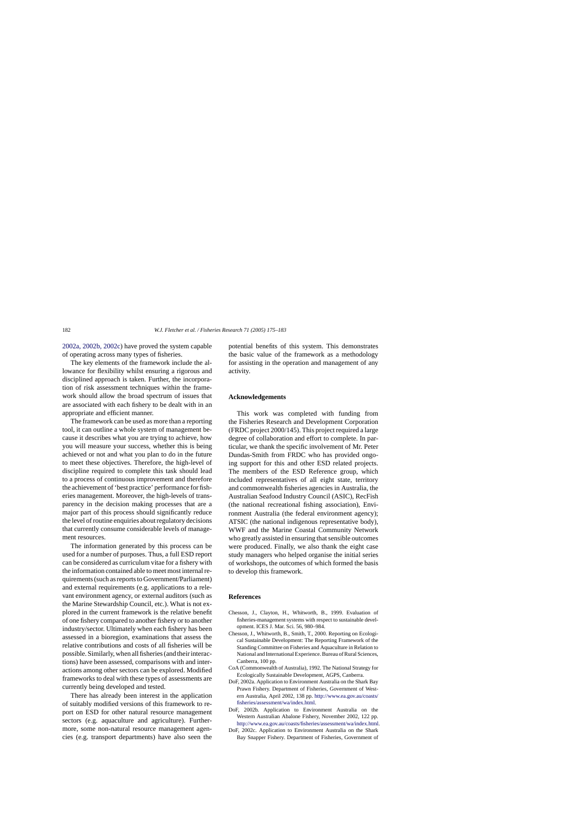<span id="page-7-0"></span>2002a, 2002b, 2002c) have proved the system capable of operating across many types of fisheries.

The key elements of the framework include the allowance for flexibility whilst ensuring a rigorous and disciplined approach is taken. Further, the incorporation of risk assessment techniques within the framework should allow the broad spectrum of issues that are associated with each fishery to be dealt with in an appropriate and efficient manner.

The framework can be used as more than a reporting tool, it can outline a whole system of management because it describes what you are trying to achieve, how you will measure your success, whether this is being achieved or not and what you plan to do in the future to meet these objectives. Therefore, the high-level of discipline required to complete this task should lead to a process of continuous improvement and therefore the achievement of 'best practice' performance for fisheries management. Moreover, the high-levels of transparency in the decision making processes that are a major part of this process should significantly reduce the level of routine enquiries about regulatory decisions that currently consume considerable levels of management resources.

The information generated by this process can be used for a number of purposes. Thus, a full ESD report can be considered as curriculum vitae for a fishery with the information contained able to meet most internal requirements (such as reports to Government/Parliament) and external requirements (e.g. applications to a relevant environment agency, or external auditors (such as the Marine Stewardship Council, etc.). What is not explored in the current framework is the relative benefit of one fishery compared to another fishery or to another industry/sector. Ultimately when each fishery has been assessed in a bioregion, examinations that assess the relative contributions and costs of all fisheries will be possible. Similarly, when all fisheries (and their interactions) have been assessed, comparisons with and interactions among other sectors can be explored. Modified frameworks to deal with these types of assessments are currently being developed and tested.

There has already been interest in the application of suitably modified versions of this framework to report on ESD for other natural resource management sectors (e.g. aquaculture and agriculture). Furthermore, some non-natural resource management agencies (e.g. transport departments) have also seen the potential benefits of this system. This demonstrates the basic value of the framework as a methodology for assisting in the operation and management of any activity.

## **Acknowledgements**

This work was completed with funding from the Fisheries Research and Development Corporation (FRDC project 2000/145). This project required a large degree of collaboration and effort to complete. In particular, we thank the specific involvement of Mr. Peter Dundas-Smith from FRDC who has provided ongoing support for this and other ESD related projects. The members of the ESD Reference group, which included representatives of all eight state, territory and commonwealth fisheries agencies in Australia, the Australian Seafood Industry Council (ASIC), RecFish (the national recreational fishing association), Environment Australia (the federal environment agency); ATSIC (the national indigenous representative body), WWF and the Marine Coastal Community Network who greatly assisted in ensuring that sensible outcomes were produced. Finally, we also thank the eight case study managers who helped organise the initial series of workshops, the outcomes of which formed the basis to develop this framework.

#### **References**

- Chesson, J., Clayton, H., Whitworth, B., 1999. Evaluation of fisheries-management systems with respect to sustainable development. ICES J. Mar. Sci. 56, 980–984.
- Chesson, J., Whitworth, B., Smith, T., 2000. Reporting on Ecological Sustainable Development: The Reporting Framework of the Standing Committee on Fisheries and Aquaculture in Relation to National and International Experience. Bureau of Rural Sciences, Canberra, 100 pp.
- CoA (Commonwealth of Australia), 1992. The National Strategy for Ecologically Sustainable Development, AGPS, Canberra.
- DoF, 2002a. Application to Environment Australia on the Shark Bay Prawn Fishery. Department of Fisheries, Government of Western Australia, April 2002, 138 pp. [http://www.ea.gov.au/coasts/](http://www.ea.gov.au/coasts/fisheries/assessment/wa/index.html) [fisheries/assessment/wa/index.html.](http://www.ea.gov.au/coasts/fisheries/assessment/wa/index.html)
- DoF, 2002b. Application to Environment Australia on the Western Australian Abalone Fishery, November 2002, 122 pp. <http://www.ea.gov.au/coasts/fisheries/assessment/wa/index.html>.
- DoF, 2002c. Application to Environment Australia on the Shark Bay Snapper Fishery. Department of Fisheries, Government of